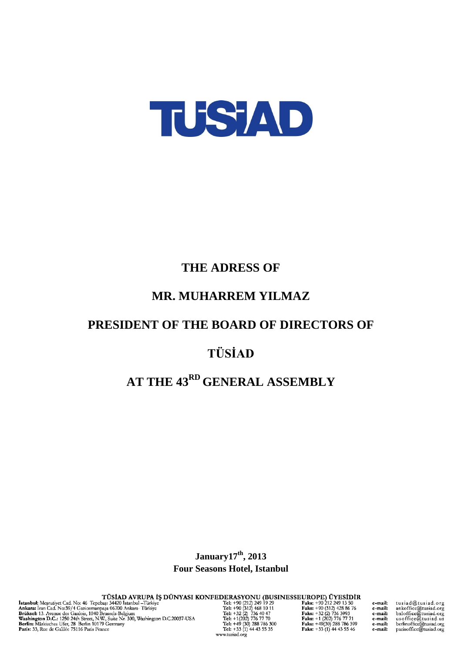

## **THE ADRESS OF**

### **MR. MUHARREM YILMAZ**

## **PRESIDENT OF THE BOARD OF DIRECTORS OF**

## **TÜSİAD**

# **AT THE 43RD GENERAL ASSEMBLY**

**January17th , 2013 Four Seasons Hotel, Istanbul**

**TÜSİAD AVRUPA İŞ DÜNYASI KONFEDERASYONU (BUSINESSEUROPE) ÜYESİDİR**<br>
başı 34420 İstanbul –Türkiye Tel: +90 (212) 249 19 29 Faks: +90 212 249 13 50<br>
paşa 06700 Ankara-Türkiye Tel: +90 (312) 428 148 10 11 Faks: +90 (312) 42 TÜSİAD AVRUPA İŞ DÜNYASI I<br>TÜSİAD AVRUPA İŞ DÜNYASI I<br>Ankara: İran Cad. No:39/4 Gaziosmapaşa 06700 Ankara-Türkiye<br>Brüksel: 13. Avenue des Gaulois, 1040 Brusels-Belgium<br>Washington D.C.: 1250 24th Street, N.W., Suite Nr. 300

www.tusiad.org

tusiad@tusiad.org e-mail: tusiad@tusiad.org<br>ankoffice@tusiad.org<br>bxloffice@tusiad.org<br>usoffice@tusiad.us<br>berlinoffice@tusiad.org  $e$ -mail: e-mail: e-mail: e-mail: e-mail: parisoffice@tusiad.org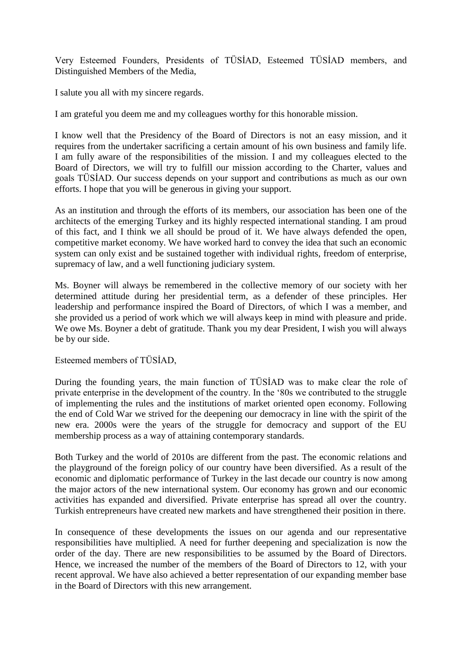Very Esteemed Founders, Presidents of TÜSİAD, Esteemed TÜSİAD members, and Distinguished Members of the Media,

I salute you all with my sincere regards.

I am grateful you deem me and my colleagues worthy for this honorable mission.

I know well that the Presidency of the Board of Directors is not an easy mission, and it requires from the undertaker sacrificing a certain amount of his own business and family life. I am fully aware of the responsibilities of the mission. I and my colleagues elected to the Board of Directors, we will try to fulfill our mission according to the Charter, values and goals TÜSİAD. Our success depends on your support and contributions as much as our own efforts. I hope that you will be generous in giving your support.

As an institution and through the efforts of its members, our association has been one of the architects of the emerging Turkey and its highly respected international standing. I am proud of this fact, and I think we all should be proud of it. We have always defended the open, competitive market economy. We have worked hard to convey the idea that such an economic system can only exist and be sustained together with individual rights, freedom of enterprise, supremacy of law, and a well functioning judiciary system.

Ms. Boyner will always be remembered in the collective memory of our society with her determined attitude during her presidential term, as a defender of these principles. Her leadership and performance inspired the Board of Directors, of which I was a member, and she provided us a period of work which we will always keep in mind with pleasure and pride. We owe Ms. Boyner a debt of gratitude. Thank you my dear President, I wish you will always be by our side.

Esteemed members of TÜSİAD,

During the founding years, the main function of TÜSİAD was to make clear the role of private enterprise in the development of the country. In the '80s we contributed to the struggle of implementing the rules and the institutions of market oriented open economy. Following the end of Cold War we strived for the deepening our democracy in line with the spirit of the new era. 2000s were the years of the struggle for democracy and support of the EU membership process as a way of attaining contemporary standards.

Both Turkey and the world of 2010s are different from the past. The economic relations and the playground of the foreign policy of our country have been diversified. As a result of the economic and diplomatic performance of Turkey in the last decade our country is now among the major actors of the new international system. Our economy has grown and our economic activities has expanded and diversified. Private enterprise has spread all over the country. Turkish entrepreneurs have created new markets and have strengthened their position in there.

In consequence of these developments the issues on our agenda and our representative responsibilities have multiplied. A need for further deepening and specialization is now the order of the day. There are new responsibilities to be assumed by the Board of Directors. Hence, we increased the number of the members of the Board of Directors to 12, with your recent approval. We have also achieved a better representation of our expanding member base in the Board of Directors with this new arrangement.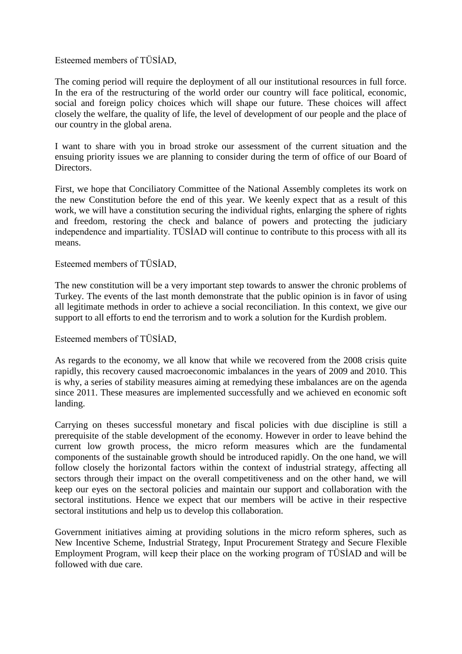#### Esteemed members of TÜSİAD,

The coming period will require the deployment of all our institutional resources in full force. In the era of the restructuring of the world order our country will face political, economic, social and foreign policy choices which will shape our future. These choices will affect closely the welfare, the quality of life, the level of development of our people and the place of our country in the global arena.

I want to share with you in broad stroke our assessment of the current situation and the ensuing priority issues we are planning to consider during the term of office of our Board of Directors.

First, we hope that Conciliatory Committee of the National Assembly completes its work on the new Constitution before the end of this year. We keenly expect that as a result of this work, we will have a constitution securing the individual rights, enlarging the sphere of rights and freedom, restoring the check and balance of powers and protecting the judiciary independence and impartiality. TÜSİAD will continue to contribute to this process with all its means.

Esteemed members of TÜSİAD,

The new constitution will be a very important step towards to answer the chronic problems of Turkey. The events of the last month demonstrate that the public opinion is in favor of using all legitimate methods in order to achieve a social reconciliation. In this context, we give our support to all efforts to end the terrorism and to work a solution for the Kurdish problem.

Esteemed members of TÜSİAD,

As regards to the economy, we all know that while we recovered from the 2008 crisis quite rapidly, this recovery caused macroeconomic imbalances in the years of 2009 and 2010. This is why, a series of stability measures aiming at remedying these imbalances are on the agenda since 2011. These measures are implemented successfully and we achieved en economic soft landing.

Carrying on theses successful monetary and fiscal policies with due discipline is still a prerequisite of the stable development of the economy. However in order to leave behind the current low growth process, the micro reform measures which are the fundamental components of the sustainable growth should be introduced rapidly. On the one hand, we will follow closely the horizontal factors within the context of industrial strategy, affecting all sectors through their impact on the overall competitiveness and on the other hand, we will keep our eyes on the sectoral policies and maintain our support and collaboration with the sectoral institutions. Hence we expect that our members will be active in their respective sectoral institutions and help us to develop this collaboration.

Government initiatives aiming at providing solutions in the micro reform spheres, such as New Incentive Scheme, Industrial Strategy, Input Procurement Strategy and Secure Flexible Employment Program, will keep their place on the working program of TÜSİAD and will be followed with due care.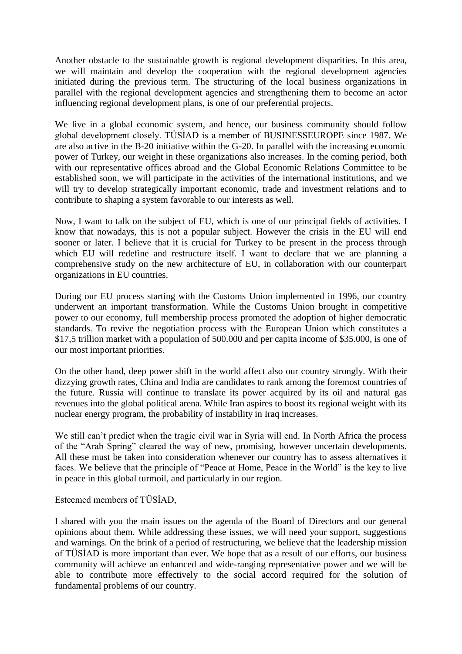Another obstacle to the sustainable growth is regional development disparities. In this area, we will maintain and develop the cooperation with the regional development agencies initiated during the previous term. The structuring of the local business organizations in parallel with the regional development agencies and strengthening them to become an actor influencing regional development plans, is one of our preferential projects.

We live in a global economic system, and hence, our business community should follow global development closely. TÜSİAD is a member of BUSINESSEUROPE since 1987. We are also active in the B-20 initiative within the G-20. In parallel with the increasing economic power of Turkey, our weight in these organizations also increases. In the coming period, both with our representative offices abroad and the Global Economic Relations Committee to be established soon, we will participate in the activities of the international institutions, and we will try to develop strategically important economic, trade and investment relations and to contribute to shaping a system favorable to our interests as well.

Now, I want to talk on the subject of EU, which is one of our principal fields of activities. I know that nowadays, this is not a popular subject. However the crisis in the EU will end sooner or later. I believe that it is crucial for Turkey to be present in the process through which EU will redefine and restructure itself. I want to declare that we are planning a comprehensive study on the new architecture of EU, in collaboration with our counterpart organizations in EU countries.

During our EU process starting with the Customs Union implemented in 1996, our country underwent an important transformation. While the Customs Union brought in competitive power to our economy, full membership process promoted the adoption of higher democratic standards. To revive the negotiation process with the European Union which constitutes a \$17,5 trillion market with a population of 500.000 and per capita income of \$35.000, is one of our most important priorities.

On the other hand, deep power shift in the world affect also our country strongly. With their dizzying growth rates, China and India are candidates to rank among the foremost countries of the future. Russia will continue to translate its power acquired by its oil and natural gas revenues into the global political arena. While Iran aspires to boost its regional weight with its nuclear energy program, the probability of instability in Iraq increases.

We still can't predict when the tragic civil war in Syria will end. In North Africa the process of the "Arab Spring" cleared the way of new, promising, however uncertain developments. All these must be taken into consideration whenever our country has to assess alternatives it faces. We believe that the principle of "Peace at Home, Peace in the World" is the key to live in peace in this global turmoil, and particularly in our region.

Esteemed members of TÜSİAD,

I shared with you the main issues on the agenda of the Board of Directors and our general opinions about them. While addressing these issues, we will need your support, suggestions and warnings. On the brink of a period of restructuring, we believe that the leadership mission of TÜSİAD is more important than ever. We hope that as a result of our efforts, our business community will achieve an enhanced and wide-ranging representative power and we will be able to contribute more effectively to the social accord required for the solution of fundamental problems of our country.